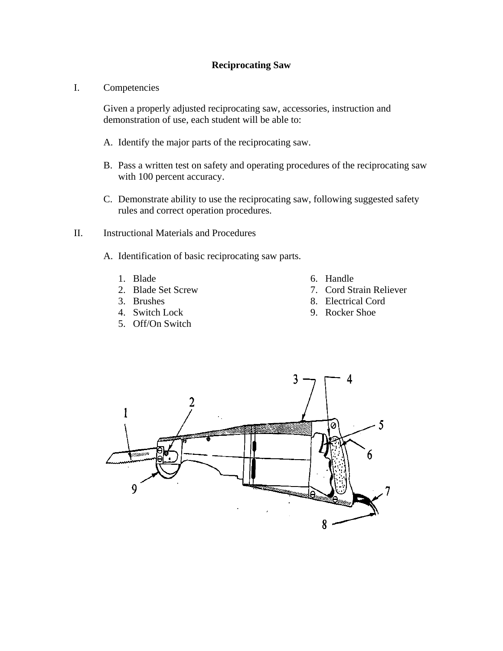#### **Reciprocating Saw**

I. Competencies

Given a properly adjusted reciprocating saw, accessories, instruction and demonstration of use, each student will be able to:

- A. Identify the major parts of the reciprocating saw.
- B. Pass a written test on safety and operating procedures of the reciprocating saw with 100 percent accuracy.
- C. Demonstrate ability to use the reciprocating saw, following suggested safety rules and correct operation procedures.
- II. Instructional Materials and Procedures
	- A. Identification of basic reciprocating saw parts.
		- 1. Blade
		- 2. Blade Set Screw
		- 3. Brushes
		- 4. Switch Lock
		- 5. Off/On Switch
- 6. Handle
- 7. Cord Strain Reliever
- 8. Electrical Cord
- 9. Rocker Shoe

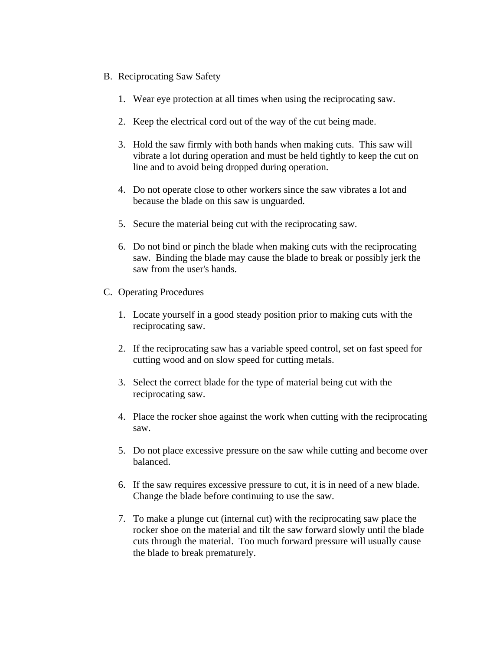- B. Reciprocating Saw Safety
	- 1. Wear eye protection at all times when using the reciprocating saw.
	- 2. Keep the electrical cord out of the way of the cut being made.
	- 3. Hold the saw firmly with both hands when making cuts. This saw will vibrate a lot during operation and must be held tightly to keep the cut on line and to avoid being dropped during operation.
	- 4. Do not operate close to other workers since the saw vibrates a lot and because the blade on this saw is unguarded.
	- 5. Secure the material being cut with the reciprocating saw.
	- 6. Do not bind or pinch the blade when making cuts with the reciprocating saw. Binding the blade may cause the blade to break or possibly jerk the saw from the user's hands.
- C. Operating Procedures
	- 1. Locate yourself in a good steady position prior to making cuts with the reciprocating saw.
	- 2. If the reciprocating saw has a variable speed control, set on fast speed for cutting wood and on slow speed for cutting metals.
	- 3. Select the correct blade for the type of material being cut with the reciprocating saw.
	- 4. Place the rocker shoe against the work when cutting with the reciprocating saw.
	- 5. Do not place excessive pressure on the saw while cutting and become over balanced.
	- 6. If the saw requires excessive pressure to cut, it is in need of a new blade. Change the blade before continuing to use the saw.
	- 7. To make a plunge cut (internal cut) with the reciprocating saw place the rocker shoe on the material and tilt the saw forward slowly until the blade cuts through the material. Too much forward pressure will usually cause the blade to break prematurely.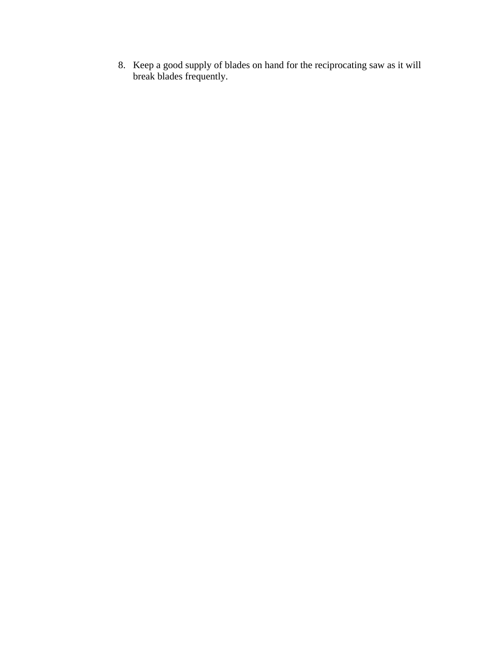8. Keep a good supply of blades on hand for the reciprocating saw as it will break blades frequently.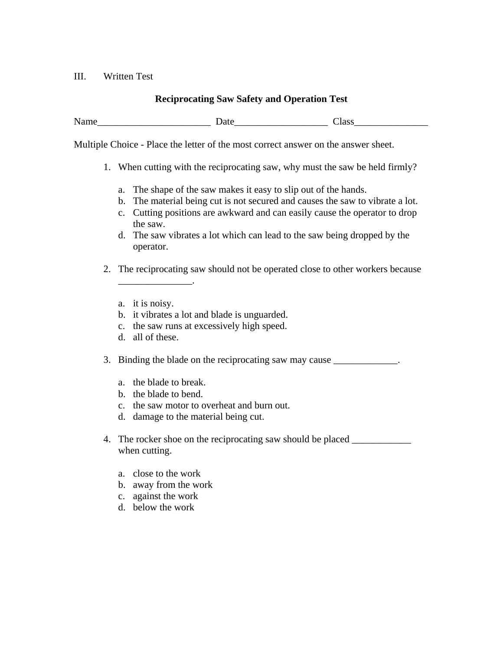#### III. Written Test

### **Reciprocating Saw Safety and Operation Test**

Name Date Date Date Class

Multiple Choice - Place the letter of the most correct answer on the answer sheet.

- 1. When cutting with the reciprocating saw, why must the saw be held firmly?
	- a. The shape of the saw makes it easy to slip out of the hands.
	- b. The material being cut is not secured and causes the saw to vibrate a lot.
	- c. Cutting positions are awkward and can easily cause the operator to drop the saw.
	- d. The saw vibrates a lot which can lead to the saw being dropped by the operator.
- 2. The reciprocating saw should not be operated close to other workers because
	- a. it is noisy.

\_\_\_\_\_\_\_\_\_\_\_\_\_\_\_.

- b. it vibrates a lot and blade is unguarded.
- c. the saw runs at excessively high speed.
- d. all of these.
- 3. Binding the blade on the reciprocating saw may cause \_\_\_\_\_\_\_\_\_\_\_\_.
	- a. the blade to break.
	- b. the blade to bend.
	- c. the saw motor to overheat and burn out.
	- d. damage to the material being cut.
- 4. The rocker shoe on the reciprocating saw should be placed when cutting.
	- a. close to the work
	- b. away from the work
	- c. against the work
	- d. below the work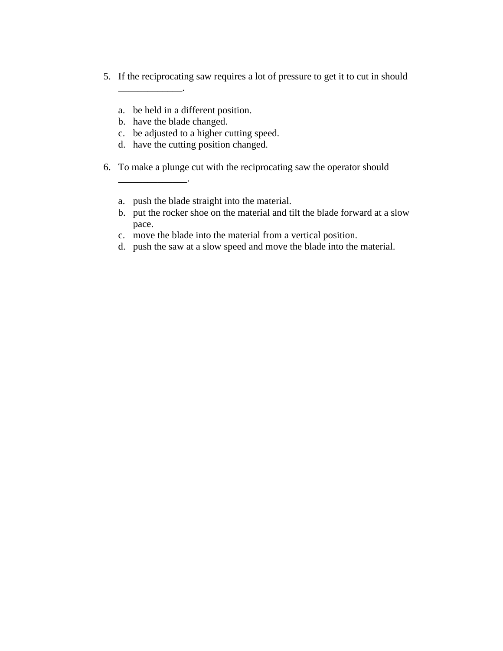- 5. If the reciprocating saw requires a lot of pressure to get it to cut in should
	- a. be held in a different position.
	- b. have the blade changed.

\_\_\_\_\_\_\_\_\_\_\_\_\_.

\_\_\_\_\_\_\_\_\_\_\_\_\_\_.

- c. be adjusted to a higher cutting speed.
- d. have the cutting position changed.
- 6. To make a plunge cut with the reciprocating saw the operator should
	- a. push the blade straight into the material.
	- b. put the rocker shoe on the material and tilt the blade forward at a slow pace.
	- c. move the blade into the material from a vertical position.
	- d. push the saw at a slow speed and move the blade into the material.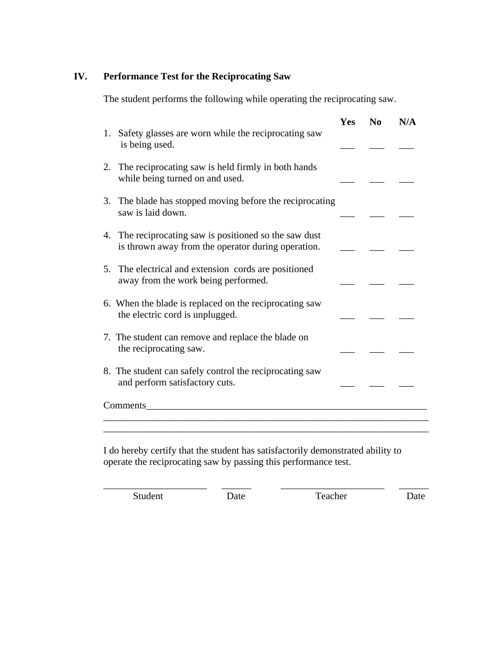# **IV. Performance Test for the Reciprocating Saw**

The student performs the following while operating the reciprocating saw.

| Safety glasses are worn while the reciprocating saw<br>1.<br>is being used.                                  | Yes | No | N/A |
|--------------------------------------------------------------------------------------------------------------|-----|----|-----|
| The reciprocating saw is held firmly in both hands<br>2.<br>while being turned on and used.                  |     |    |     |
| The blade has stopped moving before the reciprocating<br>3.<br>saw is laid down.                             |     |    |     |
| 4. The reciprocating saw is positioned so the saw dust<br>is thrown away from the operator during operation. |     |    |     |
| The electrical and extension cords are positioned<br>5.<br>away from the work being performed.               |     |    |     |
| 6. When the blade is replaced on the reciprocating saw<br>the electric cord is unplugged.                    |     |    |     |
| 7. The student can remove and replace the blade on<br>the reciprocating saw.                                 |     |    |     |
| 8. The student can safely control the reciprocating saw<br>and perform satisfactory cuts.                    |     |    |     |
| Comments_<br><u> 1989 - Johann John Stone, mars eta biztanleria (h. 1989).</u>                               |     |    |     |
|                                                                                                              |     |    |     |

I do hereby certify that the student has satisfactorily demonstrated ability to operate the reciprocating saw by passing this performance test.

\_\_\_\_\_\_\_\_\_\_\_\_\_\_\_\_\_\_\_\_\_ \_\_\_\_\_\_ \_\_\_\_\_\_\_\_\_\_\_\_\_\_\_\_\_\_\_\_\_ \_\_\_\_\_\_

Student Date Date Teacher Date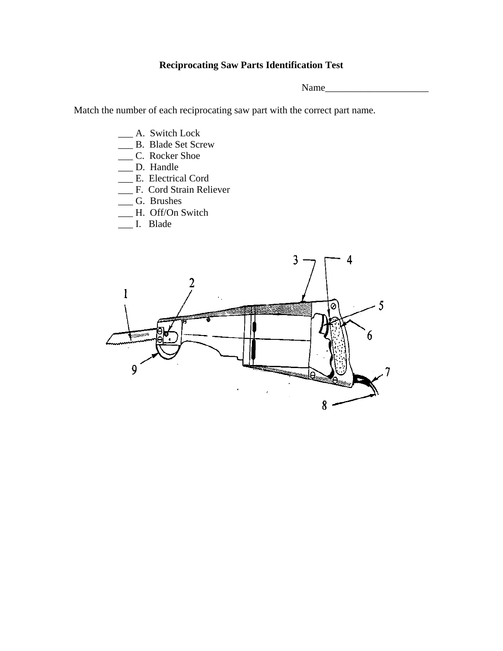# **Reciprocating Saw Parts Identification Test**

Name\_\_\_\_\_\_\_\_\_\_\_\_\_\_\_\_\_\_\_\_\_

Match the number of each reciprocating saw part with the correct part name.

- \_\_\_ A. Switch Lock
- \_\_\_ B. Blade Set Screw
- \_\_\_ C. Rocker Shoe
- \_\_\_ D. Handle
- \_\_\_ E. Electrical Cord
- \_\_\_ F. Cord Strain Reliever
- \_\_\_ G. Brushes
- \_\_\_ H. Off/On Switch
- \_\_\_ I. Blade

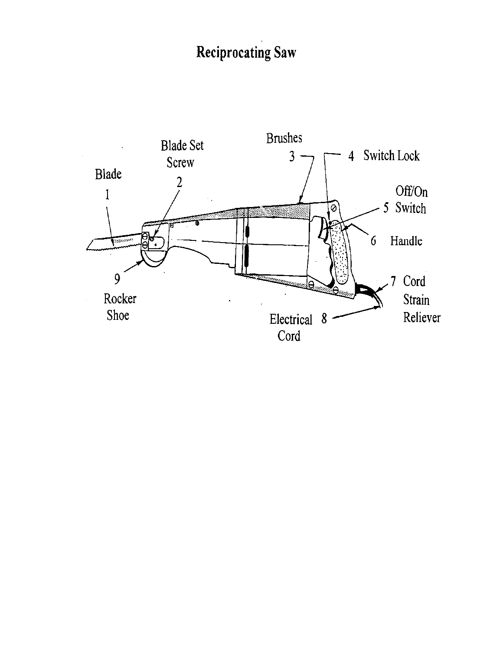# **Reciprocating Saw**